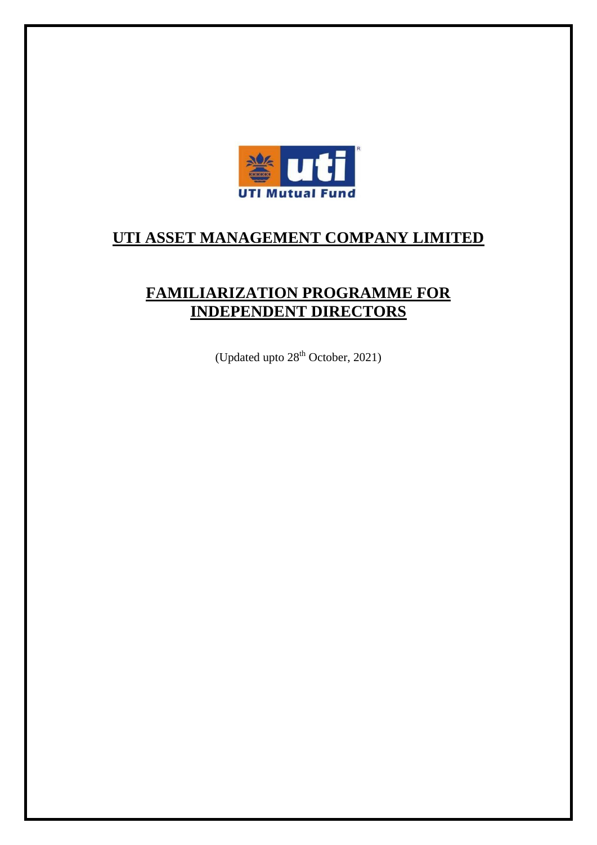

# **UTI ASSET MANAGEMENT COMPANY LIMITED**

# **FAMILIARIZATION PROGRAMME FOR INDEPENDENT DIRECTORS**

(Updated upto 28<sup>th</sup> October, 2021)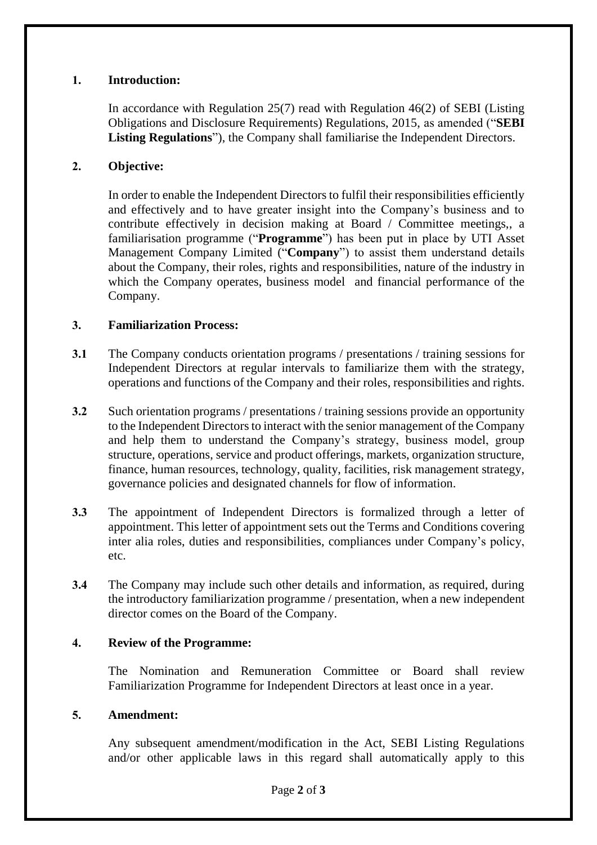## **1. Introduction:**

In accordance with Regulation 25(7) read with Regulation 46(2) of SEBI (Listing Obligations and Disclosure Requirements) Regulations, 2015, as amended ("**SEBI Listing Regulations**"), the Company shall familiarise the Independent Directors.

### **2. Objective:**

In order to enable the Independent Directors to fulfil their responsibilities efficiently and effectively and to have greater insight into the Company's business and to contribute effectively in decision making at Board / Committee meetings,, a familiarisation programme ("**Programme**") has been put in place by UTI Asset Management Company Limited ("**Company**") to assist them understand details about the Company, their roles, rights and responsibilities, nature of the industry in which the Company operates, business model and financial performance of the Company.

### **3. Familiarization Process:**

- **3.1** The Company conducts orientation programs / presentations / training sessions for Independent Directors at regular intervals to familiarize them with the strategy, operations and functions of the Company and their roles, responsibilities and rights.
- **3.2** Such orientation programs / presentations / training sessions provide an opportunity to the Independent Directors to interact with the senior management of the Company and help them to understand the Company's strategy, business model, group structure, operations, service and product offerings, markets, organization structure, finance, human resources, technology, quality, facilities, risk management strategy, governance policies and designated channels for flow of information.
- **3.3** The appointment of Independent Directors is formalized through a letter of appointment. This letter of appointment sets out the Terms and Conditions covering inter alia roles, duties and responsibilities, compliances under Company's policy, etc.
- **3.4** The Company may include such other details and information, as required, during the introductory familiarization programme / presentation, when a new independent director comes on the Board of the Company.

#### **4. Review of the Programme:**

The Nomination and Remuneration Committee or Board shall review Familiarization Programme for Independent Directors at least once in a year.

#### **5. Amendment:**

Any subsequent amendment/modification in the Act, SEBI Listing Regulations and/or other applicable laws in this regard shall automatically apply to this